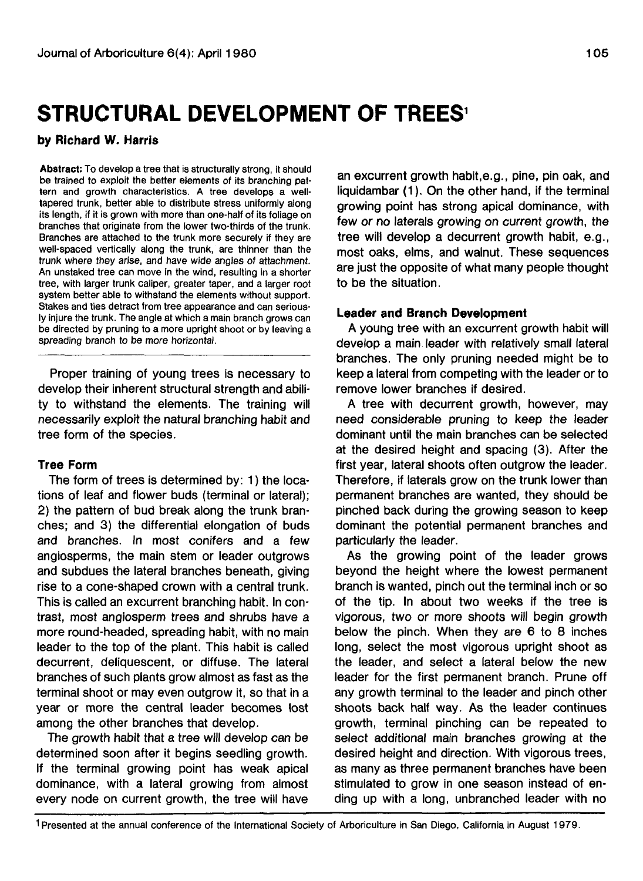# **STRUCTURAL DEVELOPMENT OF TREES<sup>1</sup>**

### **by Richard W. Harris**

**Abstract:** To develop a tree that is structurally strong, it should be trained to exploit the better elements of its branching pattern and growth characteristics. A tree develops a welltapered trunk, better able to distribute stress uniformly along its length, if it is grown with more than one-half of its foliage on branches that originate from the lower two-thirds of the trunk. Branches are attached to the trunk more securely if they are well-spaced vertically along the trunk, are thinner than the trunk where they arise, and have wide angles of attachment. An unstaked tree can move in the wind, resulting in a shorter tree, with larger trunk caliper, greater taper, and a larger root system better able to withstand the elements without support. Stakes and ties detract from tree appearance and can seriously injure the trunk. The angle at which a main branch grows can be directed by pruning to a more upright shoot or by leaving a spreading branch to be more horizontal.

Proper training of young trees is necessary to develop their inherent structural strength and ability to withstand the elements. The training will necessarily exploit the natural branching habit and tree form of the species.

# **Tree Form**

The form of trees is determined by: 1) the locations of leaf and flower buds (terminal or lateral); 2) the pattern of bud break along the trunk branches; and 3) the differential elongation of buds and branches. In most conifers and a few angiosperms, the main stem or leader outgrows and subdues the lateral branches beneath, giving rise to a cone-shaped crown with a central trunk. This is called an excurrent branching habit. In contrast, most angiosperm trees and shrubs have a more round-headed, spreading habit, with no main leader to the top of the plant. This habit is called decurrent, deliquescent, or diffuse. The lateral branches of such plants grow almost as fast as the terminal shoot or may even outgrow it, so that in a year or more the central leader becomes lost among the other branches that develop.

The growth habit that a tree will develop can be determined soon after it begins seedling growth. If the terminal growing point has weak apical dominance, with a lateral growing from almost every node on current growth, the tree will have

an excurrent growth habit.e.g., pine, pin oak, and liquidambar (1). On the other hand, if the terminal growing point has strong apical dominance, with few or no laterals growing on current growth, the tree will develop a decurrent growth habit, e.g., most oaks, elms, and walnut. These sequences are just the opposite of what many people thought to be the situation.

# **Leader and Branch Development**

A young tree with an excurrent growth habit will develop a main leader with relatively small lateral branches. The only pruning needed might be to keep a lateral from competing with the leader or to remove lower branches if desired.

A tree with decurrent growth, however, may need considerable pruning to keep the leader dominant until the main branches can be selected at the desired height and spacing (3). After the first year, lateral shoots often outgrow the leader. Therefore, if laterals grow on the trunk lower than permanent branches are wanted, they should be pinched back during the growing season to keep dominant the potential permanent branches and particularly the leader.

As the growing point of the leader grows beyond the height where the lowest permanent branch is wanted, pinch out the terminal inch or so of the tip. In about two weeks if the tree is vigorous, two or more shoots will begin growth below the pinch. When they are 6 to 8 inches long, select the most vigorous upright shoot as the leader, and select a lateral below the new leader for the first permanent branch. Prune off any growth terminal to the leader and pinch other shoots back half way. As the leader continues growth, terminal pinching can be repeated to select additional main branches growing at the desired height and direction. With vigorous trees, as many as three permanent branches have been stimulated to grow in one season instead of ending up with a long, unbranched leader with no

1 Presented at the annual conference of the International Society of Arboriculture in San Diego, California in August 1979.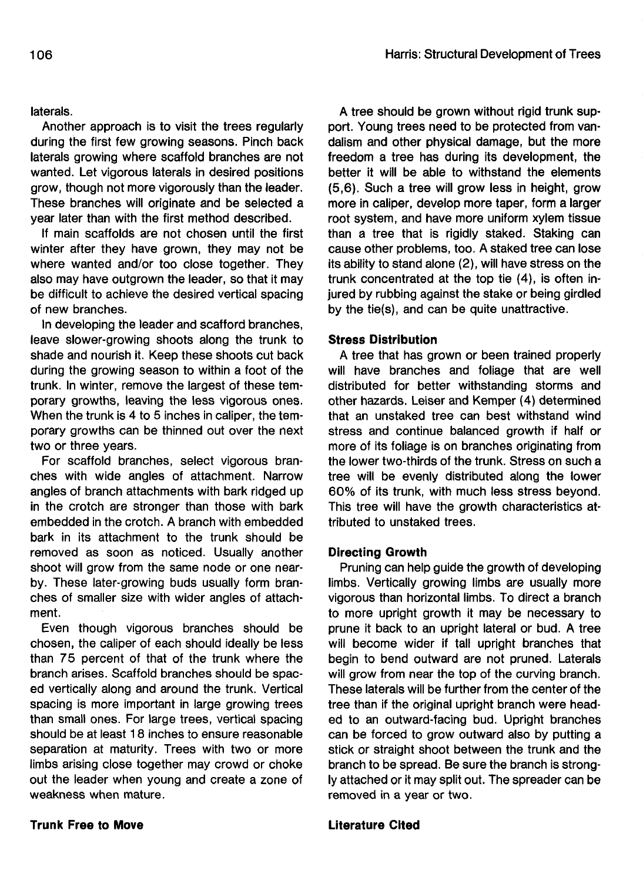Another approach is to visit the trees regularly during the first few growing seasons. Pinch back laterals growing where scaffold branches are not wanted. Let vigorous laterals in desired positions grow, though not more vigorously than the leader. These branches will originate and be selected a year later than with the first method described.

If main scaffolds are not chosen until the first winter after they have grown, they may not be where wanted and/or too close together. They also may have outgrown the leader, so that it may be difficult to achieve the desired vertical spacing of new branches.

In developing the leader and scafford branches, leave slower-growing shoots along the trunk to shade and nourish it. Keep these shoots cut back during the growing season to within a foot of the trunk. In winter, remove the largest of these temporary growths, leaving the less vigorous ones. When the trunk is 4 to 5 inches in caliper, the temporary growths can be thinned out over the next two or three years.

For scaffold branches, select vigorous branches with wide angles of attachment. Narrow angles of branch attachments with bark ridged up in the crotch are stronger than those with bark embedded in the crotch. A branch with embedded bark in its attachment to the trunk should be removed as soon as noticed. Usually another shoot will grow from the same node or one nearby. These later-growing buds usually form branches of smaller size with wider angles of attachment.

Even though vigorous branches should be chosen, the caliper of each should ideally be less than 75 percent of that of the trunk where the branch arises. Scaffold branches should be spaced vertically along and around the trunk. Vertical spacing is more important in large growing trees than small ones. For large trees, vertical spacing should be at least 18 inches to ensure reasonable separation at maturity. Trees with two or more limbs arising close together may crowd or choke out the leader when young and create a zone of weakness when mature.

A tree should be grown without rigid trunk support. Young trees need to be protected from vandalism and other physical damage, but the more freedom a tree has during its development, the better it will be able to withstand the elements (5,6). Such a tree will grow less in height, grow more in caliper, develop more taper, form a larger root system, and have more uniform xylem tissue than a tree that is rigidly staked. Staking can cause other problems, too. A staked tree can lose its ability to stand alone (2), will have stress on the trunk concentrated at the top tie (4), is often injured by rubbing against the stake or being girdled by the tie(s), and can be quite unattractive.

# **Stress Distribution**

A tree that has grown or been trained properly will have branches and foliage that are well distributed for better withstanding storms and other hazards. Leiser and Kemper (4) determined that an unstaked tree can best withstand wind stress and continue balanced growth if half or more of its foliage is on branches originating from the lower two-thirds of the trunk. Stress on such a tree will be evenly distributed along the lower 60% of its trunk, with much less stress beyond. This tree will have the growth characteristics attributed to unstaked trees.

#### **Directing Growth**

Pruning can help guide the growth of developing limbs. Vertically growing limbs are usually more vigorous than horizontal limbs. To direct a branch to more upright growth it may be necessary to prune it back to an upright lateral or bud. A tree will become wider if tall upright branches that begin to bend outward are not pruned. Laterals will grow from near the top of the curving branch. These laterals will be further from the center of the tree than if the original upright branch were headed to an outward-facing bud. Upright branches can be forced to grow outward also by putting a stick or straight shoot between the trunk and the branch to be spread. Be sure the branch is strongly attached or it may split out. The spreader can be removed in a year or two.

#### **Trunk Free to Move Literature Cited**